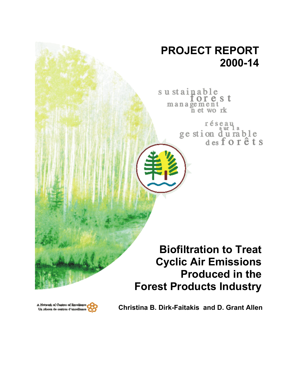# **PROJECT REPORT 2000-14**

sustainable torest management n et work

> réseau ge stion durable<br>desforêts

**Biofiltration to Treat Cyclic Air Emissions Produced in the Forest Products Industry**



**Christina B. Dirk-Faitakis and D. Grant Allen**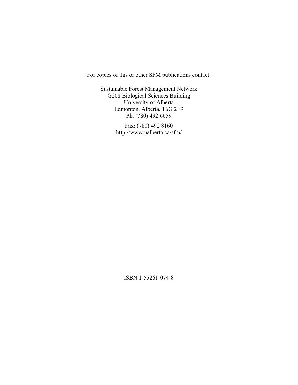For copies of this or other SFM publications contact:

Sustainable Forest Management Network G208 Biological Sciences Building University of Alberta Edmonton, Alberta, T6G 2E9 Ph: (780) 492 6659

> Fax: (780) 492 8160 http://www.ualberta.ca/sfm/

> > ISBN 1-55261-074-8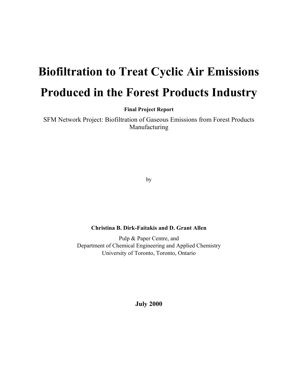# **Biofiltration to Treat Cyclic Air Emissions Produced in the Forest Products Industry**

**Final Project Report** 

SFM Network Project: Biofiltration of Gaseous Emissions from Forest Products Manufacturing

by

# **Christina B. Dirk-Faitakis and D. Grant Allen**

Pulp & Paper Centre, and Department of Chemical Engineering and Applied Chemistry University of Toronto, Toronto, Ontario

**July 2000**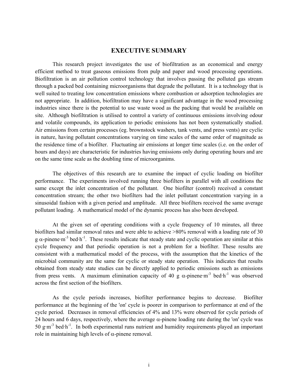# **EXECUTIVE SUMMARY**

This research project investigates the use of biofiltration as an economical and energy efficient method to treat gaseous emissions from pulp and paper and wood processing operations. Biofiltration is an air pollution control technology that involves passing the polluted gas stream through a packed bed containing microorganisms that degrade the pollutant. It is a technology that is well suited to treating low concentration emissions where combustion or adsorption technologies are not appropriate. In addition, biofiltration may have a significant advantage in the wood processing industries since there is the potential to use waste wood as the packing that would be available on site. Although biofiltration is utilised to control a variety of continuous emissions involving odour and volatile compounds, its application to periodic emissions has not been systematically studied. Air emissions from certain processes (eg. brownstock washers, tank vents, and press vents) are cyclic in nature, having pollutant concentrations varying on time scales of the same order of magnitude as the residence time of a biofilter. Fluctuating air emissions at longer time scales (i.e. on the order of hours and days) are characteristic for industries having emissions only during operating hours and are on the same time scale as the doubling time of microorganims.

The objectives of this research are to examine the impact of cyclic loading on biofilter performance. The experiments involved running three biofilters in parallel with all conditions the same except the inlet concentration of the pollutant. One biofilter (control) received a constant concentration stream; the other two biofilters had the inlet pollutant concentration varying in a sinusoidal fashion with a given period and amplitude. All three biofilters received the same average pollutant loading. A mathematical model of the dynamic process has also been developed.

At the given set of operating conditions with a cycle frequency of 10 minutes, all three biofilters had similar removal rates and were able to achieve >80% removal with a loading rate of 30 g  $\alpha$ -pinene·m<sup>-3</sup> bed·h<sup>-1</sup>. These results indicate that steady state and cyclic operation are similar at this cycle frequency and that periodic operation is not a problem for a biofilter. These results are consistent with a mathematical model of the process, with the assumption that the kinetics of the microbial community are the same for cyclic or steady state operation. This indicates that results obtained from steady state studies can be directly applied to periodic emissions such as emissions from press vents. A maximum elimination capacity of 40 g  $\alpha$ -pinene·m<sup>-3</sup> bed·h<sup>-1</sup> was observed across the first section of the biofilters.

As the cycle periods increases, biofilter performance begins to decrease. Biofilter performance at the beginning of the 'on' cycle is poorer in comparison to performance at end of the cycle period. Decreases in removal efficiencies of 4% and 13% were observed for cycle periods of 24 hours and 6 days, respectively, where the average  $\alpha$ -pinene loading rate during the 'on' cycle was  $50 \text{ g} \cdot \text{m}^{-3}$  bed $\cdot \text{h}^{-1}$ . In both experimental runs nutrient and humidity requirements played an important role in maintaining high levels of  $α$ -pinene removal.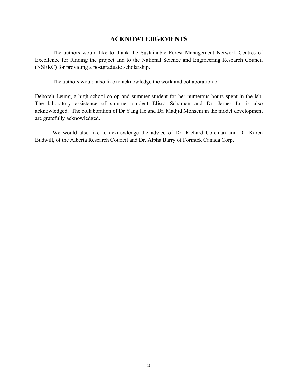# **ACKNOWLEDGEMENTS**

The authors would like to thank the Sustainable Forest Management Network Centres of Excellence for funding the project and to the National Science and Engineering Research Council (NSERC) for providing a postgraduate scholarship.

The authors would also like to acknowledge the work and collaboration of:

Deborah Leung, a high school co-op and summer student for her numerous hours spent in the lab. The laboratory assistance of summer student Elissa Schaman and Dr. James Lu is also acknowledged. The collaboration of Dr Yang He and Dr. Madjid Mohseni in the model development are gratefully acknowledged.

We would also like to acknowledge the advice of Dr. Richard Coleman and Dr. Karen Budwill, of the Alberta Research Council and Dr. Alpha Barry of Forintek Canada Corp.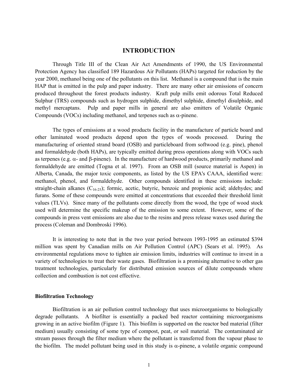# **INTRODUCTION**

Through Title III of the Clean Air Act Amendments of 1990, the US Environmental Protection Agency has classified 189 Hazardous Air Pollutants (HAPs) targeted for reduction by the year 2000, methanol being one of the pollutants on this list. Methanol is a compound that is the main HAP that is emitted in the pulp and paper industry. There are many other air emissions of concern produced throughout the forest products industry. Kraft pulp mills emit odorous Total Reduced Sulphur (TRS) compounds such as hydrogen sulphide, dimethyl sulphide, dimethyl disulphide, and methyl mercaptans. Pulp and paper mills in general are also emitters of Volatile Organic Compounds (VOCs) including methanol, and terpenes such as  $\alpha$ -pinene.

The types of emissions at a wood products facility in the manufacture of particle board and other laminated wood products depend upon the types of woods processed. During the manufacturing of oriented strand board (OSB) and particleboard from softwood (e.g. pine), phenol and formaldehyde (both HAPs), are typically emitted during press operations along with VOCs such as terpenes (e.g.  $\alpha$ - and  $\beta$ -pinene). In the manufacture of hardwood products, primarily methanol and formaldehyde are emitted (Togna et al. 1997). From an OSB mill (source material is Aspen) in Alberta, Canada, the major toxic components, as listed by the US EPA's CAAA, identified were: methanol, phenol, and formaldehyde. Other compounds identified in these emissions include: straight-chain alkanes  $(C_{16-25})$ ; formic, acetic, butyric, benzoic and propionic acid; aldehydes; and furans. Some of these compounds were emitted at concentrations that exceeded their threshold limit values (TLVs). Since many of the pollutants come directly from the wood, the type of wood stock used will determine the specific makeup of the emission to some extent. However, some of the compounds in press vent emissions are also due to the resins and press release waxes used during the process (Coleman and Dombroski 1996).

It is interesting to note that in the two year period between 1993-1995 an estimated \$394 million was spent by Canadian mills on Air Pollution Control (APC) (Sears et al. 1995). As environmental regulations move to tighten air emission limits, industries will continue to invest in a variety of technologies to treat their waste gases. Biofiltration is a promising alternative to other gas treatment technologies, particularly for distributed emission sources of dilute compounds where collection and combustion is not cost effective.

#### **Biofiltration Technology**

Biofiltration is an air pollution control technology that uses microorganisms to biologically degrade pollutants. A biofilter is essentially a packed bed reactor containing microorganisms growing in an active biofilm (Figure 1). This biofilm is supported on the reactor bed material (filter medium) usually consisting of some type of compost, peat, or soil material. The contaminated air stream passes through the filter medium where the pollutant is transferred from the vapour phase to the biofilm. The model pollutant being used in this study is  $\alpha$ -pinene, a volatile organic compound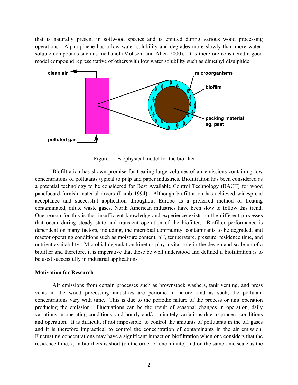that is naturally present in softwood species and is emitted during various wood processing operations. Alpha-pinene has a low water solubility and degrades more slowly than more watersoluble compounds such as methanol (Mohseni and Allen 2000). It is therefore considered a good model compound representative of others with low water solubility such as dimethyl disulphide.



Figure 1 - Biophysical model for the biofilter

Biofiltration has shown promise for treating large volumes of air emissions containing low concentrations of pollutants typical to pulp and paper industries. Biofiltration has been considered as a potential technology to be considered for Best Available Control Technology (BACT) for wood panelboard furnish material dryers (Lamb 1994). Although biofiltration has achieved widespread acceptance and successful application throughout Europe as a preferred method of treating contaminated, dilute waste gases, North American industries have been slow to follow this trend. One reason for this is that insufficient knowledge and experience exists on the different processes that occur during steady state and transient operation of the biofilter. Biofilter performance is dependent on many factors, including, the microbial community, contaminants to be degraded, and reactor operating conditions such as moisture content, pH, temperature, pressure, residence time, and nutrient availability. Microbial degradation kinetics play a vital role in the design and scale up of a biofilter and therefore, it is imperative that these be well understood and defined if biofiltration is to be used successfully in industrial applications.

#### **Motivation for Research**

Air emissions from certain processes such as brownstock washers, tank venting, and press vents in the wood processing industries are periodic in nature, and as such, the pollutant concentrations vary with time. This is due to the periodic nature of the process or unit operation producing the emission. Fluctuations can be the result of seasonal changes in operation, daily variations in operating conditions, and hourly and/or minutely variations due to process conditions and operation. It is difficult, if not impossible, to control the amounts of pollutants in the off gases and it is therefore impractical to control the concentration of contaminants in the air emission. Fluctuating concentrations may have a significant impact on biofiltration when one considers that the residence time,  $\tau$ , in biofilters is short (on the order of one minute) and on the same time scale as the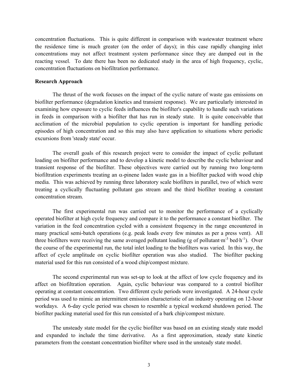concentration fluctuations. This is quite different in comparison with wastewater treatment where the residence time is much greater (on the order of days); in this case rapidly changing inlet concentrations may not affect treatment system performance since they are damped out in the reacting vessel. To date there has been no dedicated study in the area of high frequency, cyclic, concentration fluctuations on biofiltration performance.

#### **Research Approach**

The thrust of the work focuses on the impact of the cyclic nature of waste gas emissions on biofilter performance (degradation kinetics and transient response). We are particularly interested in examining how exposure to cyclic feeds influences the biofilter's capability to handle such variations in feeds in comparison with a biofilter that has run in steady state. It is quite conceivable that acclimation of the microbial population to cyclic operation is important for handling periodic episodes of high concentration and so this may also have application to situations where periodic excursions from 'steady state' occur.

The overall goals of this research project were to consider the impact of cyclic pollutant loading on biofilter performance and to develop a kinetic model to describe the cyclic behaviour and transient response of the biofilter. These objectives were carried out by running two long-term biofiltration experiments treating an  $\alpha$ -pinene laden waste gas in a biofilter packed with wood chip media. This was achieved by running three laboratory scale biofilters in parallel, two of which were treating a cyclically fluctuating pollutant gas stream and the third biofilter treating a constant concentration stream.

The first experimental run was carried out to monitor the performance of a cyclically operated biofilter at high cycle frequency and compare it to the performance a constant biofilter. The variation in the feed concentration cycled with a consistent frequency in the range encountered in many practical semi-batch operations (e.g. peak loads every few minutes as per a press vent). All three biofilters were receiving the same averaged pollutant loading (g of pollutant $\cdot$ m<sup>-3</sup> bed $\cdot$ h<sup>-1</sup>). Over the course of the experimental run, the total inlet loading to the biofilters was varied. In this way, the affect of cycle amplitude on cyclic biofilter operation was also studied. The biofilter packing material used for this run consisted of a wood chip/compost mixture.

The second experimental run was set-up to look at the affect of low cycle frequency and its affect on biofiltration operation. Again, cyclic behaviour was compared to a control biofilter operating at constant concentration. Two different cycle periods were investigated. A 24-hour cycle period was used to mimic an intermittent emission characteristic of an industry operating on 12-hour workdays. A 6-day cycle period was chosen to resemble a typical weekend shutdown period. The biofilter packing material used for this run consisted of a bark chip/compost mixture.

The unsteady state model for the cyclic biofilter was based on an existing steady state model and expanded to include the time derivative. As a first approximation, steady state kinetic parameters from the constant concentration biofilter where used in the unsteady state model.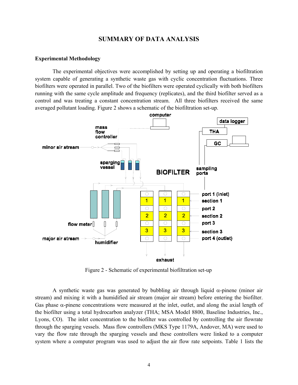# **SUMMARY OF DATA ANALYSIS**

#### **Experimental Methodology**

The experimental objectives were accomplished by setting up and operating a biofiltration system capable of generating a synthetic waste gas with cyclic concentration fluctuations. Three biofilters were operated in parallel. Two of the biofilters were operated cyclically with both biofilters running with the same cycle amplitude and frequency (replicates), and the third biofilter served as a control and was treating a constant concentration stream. All three biofilters received the same averaged pollutant loading. Figure 2 shows a schematic of the biofiltration set-up.



Figure 2 - Schematic of experimental biofiltration set-up

A synthetic waste gas was generated by bubbling air through liquid  $\alpha$ -pinene (minor air stream) and mixing it with a humidified air stream (major air stream) before entering the biofilter. Gas phase  $\alpha$ -pinene concentrations were measured at the inlet, outlet, and along the axial length of the biofilter using a total hydrocarbon analyzer (THA; MSA Model 8800, Baseline Industries, Inc., Lyons, CO). The inlet concentration to the biofilter was controlled by controlling the air flowrate through the sparging vessels. Mass flow controllers (MKS Type 1179A, Andover, MA) were used to vary the flow rate through the sparging vessels and these controllers were linked to a computer system where a computer program was used to adjust the air flow rate setpoints. Table 1 lists the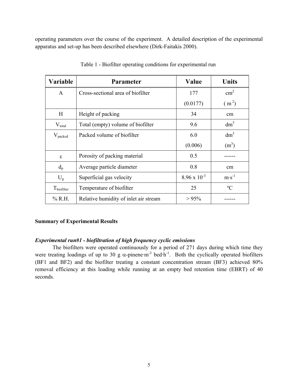operating parameters over the course of the experiment. A detailed description of the experimental apparatus and set-up has been described elsewhere (Dirk-Faitakis 2000).

| <b>Variable</b>        | <b>Parameter</b>                      | Value                 | <b>Units</b>      |
|------------------------|---------------------------------------|-----------------------|-------------------|
| A                      | Cross-sectional area of biofilter     | 177                   | $\text{cm}^2$     |
|                        |                                       | (0.0177)              | (m <sup>2</sup> ) |
| H                      | Height of packing                     | 34                    | cm                |
| $V_{total}$            | Total (empty) volume of biofilter     | 9.6                   | dm <sup>3</sup>   |
| $V_{\text{packet}}$    | Packed volume of biofilter            | 6.0                   | dm <sup>3</sup>   |
|                        |                                       | (0.006)               | $(m^3)$           |
| $\epsilon$             | Porosity of packing material          | 0.5                   |                   |
| $d_{p}$                | Average particle diameter             | 0.8                   | cm                |
| $U_{\rm g}$            | Superficial gas velocity              | $8.96 \times 10^{-3}$ | $m\cdot s^{-1}$   |
| $T_{\text{biofilter}}$ | Temperature of biofilter              | 25                    | $\rm ^{o}C$       |
| $%$ R.H.               | Relative humidity of inlet air stream | $> 95\%$              |                   |

Table 1 - Biofilter operating conditions for experimental run

#### **Summary of Experimental Results**

#### *Experimental run#1 - biofiltration of high frequency cyclic emissions*

The biofilters were operated continuously for a period of 271 days during which time they were treating loadings of up to 30 g  $\alpha$ -pinene·m<sup>-3</sup> bed·h<sup>-1</sup>. Both the cyclically operated biofilters (BF1 and BF2) and the biofilter treating a constant concentration stream (BF3) achieved 80% removal efficiency at this loading while running at an empty bed retention time (EBRT) of 40 seconds.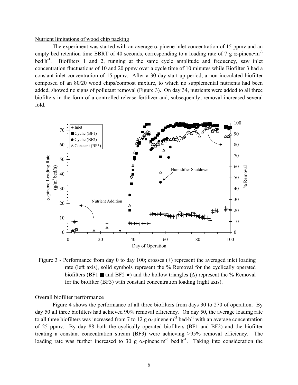#### Nutrient limitations of wood chip packing

The experiment was started with an average  $\alpha$ -pinene inlet concentration of 15 ppmv and an empty bed retention time EBRT of 40 seconds, corresponding to a loading rate of 7 g  $\alpha$ -pinene·m<sup>-3</sup> bed $\cdot$ h<sup>-1</sup>. Biofilters 1 and 2, running at the same cycle amplitude and frequency, saw inlet concentration fluctuations of 10 and 20 ppmv over a cycle time of 10 minutes while Biofilter 3 had a constant inlet concentration of 15 ppmv. After a 30 day start-up period, a non-inoculated biofilter composed of an 80/20 wood chips/compost mixture, to which no supplemental nutrients had been added, showed no signs of pollutant removal (Figure 3). On day 34, nutrients were added to all three biofilters in the form of a controlled release fertilizer and, subsequently, removal increased several fold.



Figure 3 - Performance from day 0 to day 100; crosses (+) represent the averaged inlet loading rate (left axis), solid symbols represent the % Removal for the cyclically operated biofilters (BF1  $\blacksquare$  and BF2  $\bullet$ ) and the hollow triangles ( $\Delta$ ) represent the % Removal for the biofilter (BF3) with constant concentration loading (right axis).

Overall biofilter performance

Figure 4 shows the performance of all three biofilters from days 30 to 270 of operation. By day 50 all three biofilters had achieved 90% removal efficiency. On day 50, the average loading rate to all three biofilters was increased from 7 to 12 g  $\alpha$ -pinene·m<sup>-3</sup> bed·h<sup>-1</sup> with an average concentration of 25 ppmv. By day 88 both the cyclically operated biofilters (BF1 and BF2) and the biofilter treating a constant concentration stream (BF3) were achieving >95% removal efficiency. The loading rate was further increased to 30 g  $\alpha$ -pinene·m<sup>-3</sup> bed·h<sup>-1</sup>. Taking into consideration the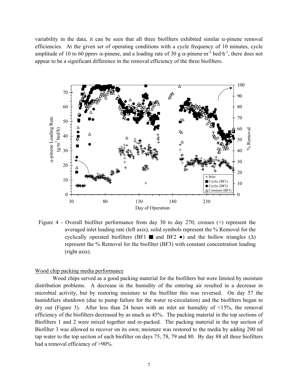variability in the data, it can be seen that all three biofilters exhibited similar α-pinene removal efficiencies. At the given set of operating conditions with a cycle frequency of 10 minutes, cycle amplitude of 10 to 60 ppmv  $\alpha$ -pinene, and a loading rate of 30 g  $\alpha$ -pinene·m<sup>-3</sup> bed·h<sup>-1</sup>, there does not appear to be a significant difference in the removal efficiency of the three biofilters.



Figure 4 - Overall biofilter performance from day 30 to day 270; crosses (+) represent the averaged inlet loading rate (left axis), solid symbols represent the % Removal for the cyclically operated biofilters (BF1  $\blacksquare$  and BF2  $\bullet$ ) and the hollow triangles ( $\Delta$ ) represent the % Removal for the biofilter (BF3) with constant concentration loading (right axis).

#### Wood chip packing media performance

Wood chips served as a good packing material for the biofilters but were limited by moisture distribution problems. A decrease in the humidity of the entering air resulted in a decrease in microbial activity, but by restoring moisture to the biofilter this was reversed. On day 57 the humidifiers shutdown (due to pump failure for the water re-circulation) and the biofilters began to dry out (Figure 3). After less than 24 hours with an inlet air humidity of <15%, the removal efficiency of the biofilters decreased by as much as 45%. The packing material in the top sections of Biofilters 1 and 2 were mixed together and re-packed. The packing material in the top section of Biofilter 3 was allowed to recover on its own; moisture was restored to the media by adding 200 ml tap water to the top section of each biofilter on days 75, 78, 79 and 80. By day 88 all three biofilters had a removal efficiency of >90%.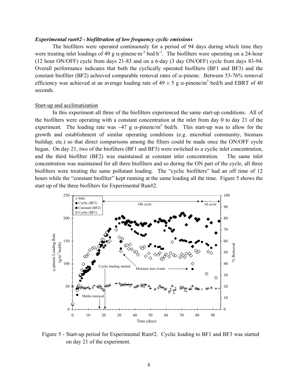#### *Experimental run#2 - biofiltration of low frequency cyclic emissions*

The biofilters were operated continuously for a period of 94 days during which time they were treating inlet loadings of 49 g  $\alpha$ -pinene·m<sup>-3</sup> bed·h<sup>-1</sup>. The biofilters were operating on a 24-hour (12 hour ON/OFF) cycle from days 21-83 and on a 6-day (3 day ON/OFF) cycle from days 83-94. Overall performance indicates that both the cyclically operated biofilters (BF1 and BF3) and the constant biofilter (BF2) achieved comparable removal rates of  $\alpha$ -pinene. Between 53-76% removal efficiency was achieved at an average loading rate of  $49 \pm 5$  g  $\alpha$ -pinene/m<sup>3</sup> bed/h and EBRT of 40 seconds.

#### Start-up and acclimatization

In this experiment all three of the biofilters experienced the same start-up conditions. All of the biofilters were operating with a constant concentration at the inlet from day 0 to day 21 of the experiment. The loading rate was  $\sim$ 47 g  $\alpha$ -pinene/m<sup>3</sup> bed/h. This start-up was to allow for the growth and establishment of similar operating conditions (e.g. microbial community, biomass buildup, etc.) so that direct comparisons among the filters could be made once the ON/OFF cycle began. On day 21, two of the biofilters (BF1 and BF3) were switched to a cyclic inlet concentration, and the third biofilter (BF2) was maintained at constant inlet concentration. The same inlet concentration was maintained for all three biofilters and so during the ON part of the cycle, all three biofilters were treating the same pollutant loading. The "cyclic biofilters" had an off time of 12 hours while the "constant biofilter" kept running at the same loading all the time. Figure 5 shows the start up of the three biofilters for Experimental Run#2.



Figure 5 - Start-up period for Experimental Run#2. Cyclic loading to BF1 and BF3 was started on day 21 of the experiment.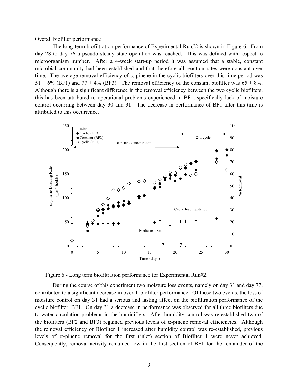#### Overall biofilter performance

The long-term biofiltration performance of Experimental Run#2 is shown in Figure 6. From day 28 to day 76 a pseudo steady state operation was reached. This was defined with respect to microorganism number. After a 4-week start-up period it was assumed that a stable, constant microbial community had been established and that therefore all reaction rates were constant over time. The average removal efficiency of  $\alpha$ -pinene in the cyclic biofilters over this time period was  $51 \pm 6\%$  (BF1) and  $77 \pm 4\%$  (BF3). The removal efficiency of the constant biofilter was  $65 \pm 8\%$ . Although there is a significant difference in the removal efficiency between the two cyclic biofilters, this has been attributed to operational problems experienced in BF1, specifically lack of moisture control occurring between day 30 and 31. The decrease in performance of BF1 after this time is attributed to this occurrence.



Figure 6 - Long term biofiltration performance for Experimental Run#2.

During the course of this experiment two moisture loss events, namely on day 31 and day 77, contributed to a significant decrease in overall biofilter performance. Of these two events, the loss of moisture control on day 31 had a serious and lasting affect on the biofiltration performance of the cyclic biofilter, BF1. On day 31 a decrease in performance was observed for all three biofilters due to water circulation problems in the humidifiers. After humidity control was re-established two of the biofilters (BF2 and BF3) regained previous levels of  $\alpha$ -pinene removal efficiencies. Although the removal efficiency of Biofilter 1 increased after humidity control was re-established, previous levels of α-pinene removal for the first (inlet) section of Biofilter 1 were never achieved. Consequently, removal activity remained low in the first section of BF1 for the remainder of the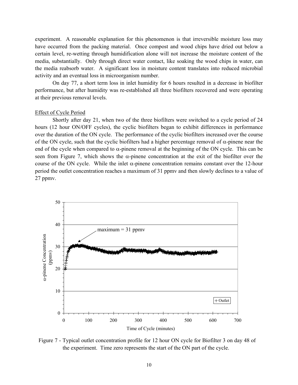experiment. A reasonable explanation for this phenomenon is that irreversible moisture loss may have occurred from the packing material. Once compost and wood chips have dried out below a certain level, re-wetting through humidification alone will not increase the moisture content of the media, substantially. Only through direct water contact, like soaking the wood chips in water, can the media reabsorb water. A significant loss in moisture content translates into reduced microbial activity and an eventual loss in microorganism number.

On day 77, a short term loss in inlet humidity for 6 hours resulted in a decrease in biofilter performance, but after humidity was re-established all three biofilters recovered and were operating at their previous removal levels.

#### Effect of Cycle Period

Shortly after day 21, when two of the three biofilters were switched to a cycle period of 24 hours (12 hour ON/OFF cycles), the cyclic biofilters began to exhibit differences in performance over the duration of the ON cycle. The performance of the cyclic biofilters increased over the course of the ON cycle, such that the cyclic biofilters had a higher percentage removal of  $\alpha$ -pinene near the end of the cycle when compared to  $\alpha$ -pinene removal at the beginning of the ON cycle. This can be seen from Figure 7, which shows the  $\alpha$ -pinene concentration at the exit of the biofilter over the course of the ON cycle. While the inlet α-pinene concentration remains constant over the 12-hour period the outlet concentration reaches a maximum of 31 ppmv and then slowly declines to a value of 27 ppmv.



Figure 7 - Typical outlet concentration profile for 12 hour ON cycle for Biofilter 3 on day 48 of the experiment. Time zero represents the start of the ON part of the cycle.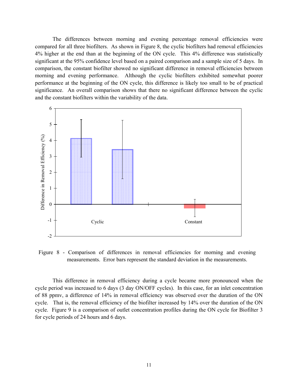The differences between morning and evening percentage removal efficiencies were compared for all three biofilters. As shown in Figure 8, the cyclic biofilters had removal efficiencies 4% higher at the end than at the beginning of the ON cycle. This 4% difference was statistically significant at the 95% confidence level based on a paired comparison and a sample size of 5 days. In comparison, the constant biofilter showed no significant difference in removal efficiencies between morning and evening performance. Although the cyclic biofilters exhibited somewhat poorer performance at the beginning of the ON cycle, this difference is likely too small to be of practical significance. An overall comparison shows that there no significant difference between the cyclic and the constant biofilters within the variability of the data.



Figure 8 - Comparison of differences in removal efficiencies for morning and evening measurements. Error bars represent the standard deviation in the measurements.

This difference in removal efficiency during a cycle became more pronounced when the cycle period was increased to 6 days (3 day ON/OFF cycles). In this case, for an inlet concentration of 88 ppmv, a difference of 14% in removal efficiency was observed over the duration of the ON cycle. That is, the removal efficiency of the biofilter increased by 14% over the duration of the ON cycle. Figure 9 is a comparison of outlet concentration profiles during the ON cycle for Biofilter 3 for cycle periods of 24 hours and 6 days.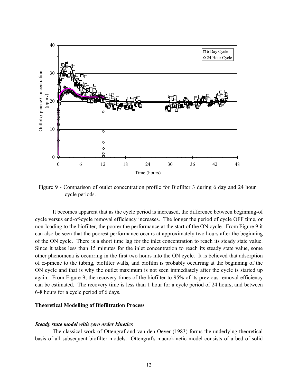

Figure 9 - Comparison of outlet concentration profile for Biofilter 3 during 6 day and 24 hour cycle periods.

It becomes apparent that as the cycle period is increased, the difference between beginning-of cycle versus end-of-cycle removal efficiency increases. The longer the period of cycle OFF time, or non-loading to the biofilter, the poorer the performance at the start of the ON cycle. From Figure 9 it can also be seen that the poorest performance occurs at approximately two hours after the beginning of the ON cycle. There is a short time lag for the inlet concentration to reach its steady state value. Since it takes less than 15 minutes for the inlet concentration to reach its steady state value, some other phenomena is occurring in the first two hours into the ON cycle. It is believed that adsorption of  $\alpha$ -pinene to the tubing, biofilter walls, and biofilm is probably occurring at the beginning of the ON cycle and that is why the outlet maximum is not seen immediately after the cycle is started up again. From Figure 9, the recovery times of the biofilter to 95% of its previous removal efficiency can be estimated. The recovery time is less than 1 hour for a cycle period of 24 hours, and between 6-8 hours for a cycle period of 6 days.

#### **Theoretical Modelling of Biofiltration Process**

#### *Steady state model with zero order kinetics*

The classical work of Ottengraf and van den Oever (1983) forms the underlying theoretical basis of all subsequent biofilter models. Ottengraf's macrokinetic model consists of a bed of solid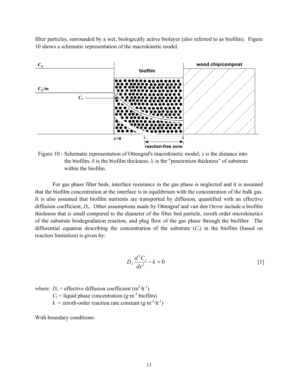filter particles, surrounded by a wet, biologically active biolayer (also referred to as biofilm). Figure 10 shows a schematic representation of the macrokinetic model.



Figure 10 - Schematic representation of Ottengraf's macrokinetic model; *x* is the distance into the biofilm,  $\delta$  is the biofilm thickness,  $\lambda$  is the "penetration thickness" of substrate within the biofilm.

For gas phase filter beds, interface resistance in the gas phase is neglected and it is assumed that the biofilm concentration at the interface is in equilibrium with the concentration of the bulk gas. It is also assumed that biofilm nutrients are transported by diffusion, quantified with an effective diffusion coefficient, *De*. Other assumptions made by Ottengraf and van den Oever include a biofilm thickness that is small compared to the diameter of the filter bed particle, zeroth order microkinetics of the substrate biodegradation reaction, and plug flow of the gas phase through the biofilter. The differential equation describing the concentration of the substrate  $(C_l)$  in the biofilm (based on reaction limitation) is given by:

$$
D_e \frac{d^2 C_l}{dx^2} - k = 0 \tag{1}
$$

where:  $D_e$  = effective diffusion coefficient  $(m^2 \cdot h^{-1})$ 

 $C_l$  = liquid phase concentration (g·m<sup>-3</sup> biofilm)

 $k =$ zeroth-order reaction rate constant (g·m<sup>-3</sup>·h<sup>-1</sup>)

With boundary conditions: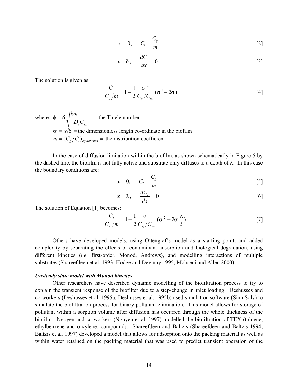$$
x = 0, \qquad C_l = \frac{C_g}{m} \tag{2}
$$

$$
x = \delta, \qquad \frac{dC_l}{dx} = 0 \tag{3}
$$

The solution is given as:

$$
\frac{C_1}{C_g/m} = 1 + \frac{1}{2} \frac{\phi^2}{C_g/C_{go}} (\sigma^2 - 2\sigma)
$$
 [4]

where:  $\phi = \delta \sqrt{\frac{km}{D_e C_{go}}}$  = the Thiele number  $\sigma = x/\delta$  = the dimensionless length co-ordinate in the biofilm  $m = (C_{\alpha}/C_{\alpha})_{\text{equilibrium}} =$  the distribution coefficient

In the case of diffusion limitation within the biofilm, as shown schematically in Figure 5 by the dashed line, the biofilm is not fully active and substrate only diffuses to a depth of λ. In this case the boundary conditions are:

$$
x = 0, \qquad C_l = \frac{C_g}{m} \tag{5}
$$

$$
x = \lambda, \qquad \frac{dC_i}{dx} = 0 \tag{6}
$$

The solution of Equation [1] becomes:

$$
\frac{C_1}{C_g/m} = 1 + \frac{1}{2} \frac{\phi^2}{C_g/C_{go}} (\sigma^2 - 2\sigma \frac{\lambda}{\delta})
$$
 [7]

Others have developed models, using Ottengraf's model as a starting point, and added complexity by separating the effects of contaminant adsorption and biological degradation, using different kinetics (*i.e.* first-order, Monod, Andrews), and modelling interactions of multiple substrates (Shareefdeen et al. 1993; Hodge and Devinny 1995; Mohseni and Allen 2000).

#### *Unsteady state model with Monod kinetics*

Other researchers have described dynamic modelling of the biofiltration process to try to explain the transient response of the biofilter due to a step-change in inlet loading. Deshusses and co-workers (Deshusses et al. 1995a; Deshusses et al. 1995b) used simulation software (SimuSolv) to simulate the biofiltration process for binary pollutant elimination. This model allows for storage of pollutant within a sorption volume after diffusion has occurred through the whole thickness of the biofilm. Nguyen and co-workers (Nguyen et al. 1997) modelled the biofiltration of TEX (toluene, ethylbenzene and o-xylene) compounds. Shareefdeen and Baltzis (Shareefdeen and Baltzis 1994; Baltzis et al. 1997) developed a model that allows for adsorption onto the packing material as well as within water retained on the packing material that was used to predict transient operation of the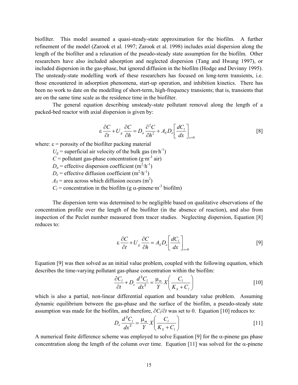biofilter. This model assumed a quasi-steady-state approximation for the biofilm. A further refinement of the model (Zarook et al. 1997; Zarook et al. 1998) includes axial dispersion along the length of the biofilter and a relaxation of the pseudo-steady state assumption for the biofilm. Other researchers have also included adsorption and neglected dispersion (Tang and Hwang 1997), or included dispersion in the gas-phase, but ignored diffusion in the biofilm (Hodge and Devinny 1995). The unsteady-state modelling work of these researchers has focused on long-term transients, i.e. those encountered in adsorption phenomena, start-up operation, and inhibition kinetics. There has been no work to date on the modelling of short-term, high-frequency transients; that is, transients that are on the same time scale as the residence time in the biofilter.

The general equation describing unsteady-state pollutant removal along the length of a packed-bed reactor with axial dispersion is given by:

$$
\varepsilon \frac{\partial C}{\partial t} + U_g \frac{\partial C}{\partial h} = D_a \frac{\partial^2 C}{\partial h^2} + A_g D_e \left[ \frac{dC_l}{dx} \right]_{x=0}
$$
 [8]

where:  $\epsilon$  = porosity of the biofilter packing material

 $U_g$  = superficial air velocity of the bulk gas (m·h<sup>-1</sup>)

 $C =$  pollutant gas-phase concentration (g·m<sup>-3</sup> air)

 $D_a$  = effective dispersion coefficient (m<sup>2</sup>·h<sup>-1</sup>)

 $D_e$  = effective diffusion coefficient (m<sup>2</sup>·h<sup>-1</sup>)

 $A_S$  = area across which diffusion occurs (m<sup>2</sup>)

 $C_l$  = concentration in the biofilm (g  $\alpha$ -pinene·m<sup>-3</sup> biofilm)

The dispersion term was determined to be negligible based on qualitative observations of the concentration profile over the length of the biofilter (in the absence of reaction), and also from inspection of the Peclet number measured from tracer studies. Neglecting dispersion, Equation [8] reduces to:

$$
\varepsilon \frac{\partial C}{\partial t} + U_g \frac{\partial C}{\partial h} = A_S D_e \left[ \frac{dC_l}{dx} \right]_{x=0} \tag{9}
$$

Equation [9] was then solved as an initial value problem, coupled with the following equation, which describes the time-varying pollutant gas-phase concentration within the biofilm:

$$
\frac{\partial C_l}{\partial t} + D_e \frac{d^2 C_l}{dx^2} = \frac{\mu_m}{Y} X \left( \frac{C_l}{K_s + C_l} \right)
$$
 [10]

which is also a partial, non-linear differential equation and boundary value problem. Assuming dynamic equilibrium between the gas-phase and the surface of the biofilm, a pseudo-steady state assumption was made for the biofilm, and therefore, ∂*Cl*/∂*t* was set to 0. Equation [10] reduces to:

$$
D_e \frac{d^2 C_l}{dx^2} = \frac{\mu_m}{Y} X \left( \frac{C_l}{K_s + C_l} \right)
$$
 [11]

A numerical finite difference scheme was employed to solve Equation [9] for the  $\alpha$ -pinene gas phase concentration along the length of the column over time. Equation [11] was solved for the  $\alpha$ -pinene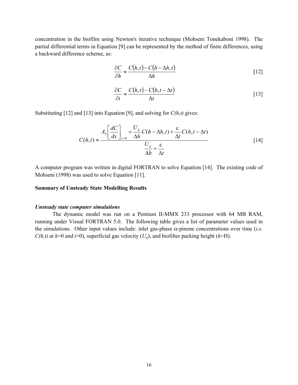concentration in the biofilm using Newton's iterative technique (Mohseni Tonekaboni 1998). The partial differential terms in Equation [9] can be represented by the method of finite differences, using a backward difference scheme, as:

$$
\frac{\partial C}{\partial h} \approx \frac{C(h,t) - C(h - \Delta h, t)}{\Delta h}
$$
 [12]

$$
\frac{\partial C}{\partial t} \approx \frac{C(h,t) - C(h,t - \Delta t)}{\Delta t}
$$
 [13]

Substituting [12] and [13] into Equation [9], and solving for *C(h,t)* gives:

$$
C(h,t) \approx \frac{A_s \left[ \frac{dC}{dx} \right]_{x=0} + \frac{U_s}{\Delta h} C(h - \Delta h, t) + \frac{\varepsilon}{\Delta t} C(h, t - \Delta t)}{\frac{U_s}{\Delta h} + \frac{\varepsilon}{\Delta t}}
$$
 [14]

A computer program was written in digital FORTRAN to solve Equation [14]. The existing code of Mohseni (1998) was used to solve Equation [11].

#### **Summary of Unsteady State Modelling Results**

#### *Unsteady state computer simulations*

The dynamic model was run on a Pentium II-MMX 233 processor with 64 MB RAM, running under Visual FORTRAN 5.0. The following table gives a list of parameter values used in the simulations. Other input values include: inlet gas-phase α-pinene concentrations over time (*i.e. C(h,t)* at *h*=0 and *t*>0), superficial gas velocity ( $U_g$ ), and biofilter packing height (*h*=H).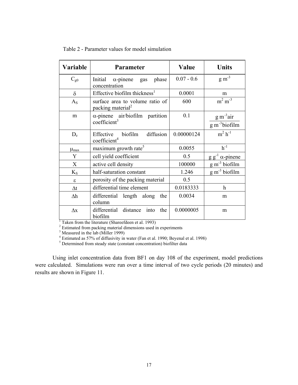| Variable            | Parameter                                                                                                                   | Value        | <b>Units</b>                      |  |  |
|---------------------|-----------------------------------------------------------------------------------------------------------------------------|--------------|-----------------------------------|--|--|
| $C_{g0}$            | phase<br>Initial<br>$\alpha$ -pinene<br>gas<br>concentration                                                                | $0.07 - 0.6$ | $g m-3$                           |  |  |
| $\delta$            | Effective biofilm thickness <sup>1</sup>                                                                                    | 0.0001       | m                                 |  |  |
| $A_{S}$             | surface area to volume ratio of<br>packing material <sup>2</sup>                                                            | 600          | $m2 m-3$                          |  |  |
| m                   | $\alpha$ -pinene air/biofilm partition<br>coefficient <sup>3</sup>                                                          | 0.1          | $g m-3 air$<br>$g m^{-3}$ biofilm |  |  |
| $D_e$               | diffusion<br>Effective biofilm<br>coefficient <sup>4</sup>                                                                  | 0.00000124   | $m2 h-1$                          |  |  |
| $\mu_{max}$         | maximum growth rate <sup>5</sup>                                                                                            | 0.0055       | $h^{-1}$                          |  |  |
| Y                   | cell yield coefficient                                                                                                      | 0.5          | $g g^{-1} \alpha$ -pinene         |  |  |
| X                   | active cell density                                                                                                         | 100000       | $g m-3$ biofilm                   |  |  |
| $K_{S}$             | half-saturation constant                                                                                                    | 1.246        | $g m^{-3}$ biofilm                |  |  |
| ε                   | porosity of the packing material                                                                                            | 0.5          |                                   |  |  |
| $\Delta t$          | differential time element                                                                                                   | 0.0183333    | $\boldsymbol{\mathrm{h}}$         |  |  |
| $\Delta h$          | differential length along<br>the<br>column                                                                                  | 0.0034       | m                                 |  |  |
| $\Delta \textbf{x}$ | differential distance into<br>the<br>biofilm                                                                                | 0.0000005    | m                                 |  |  |
|                     | Taken from the literature (Shareefdeen et al. 1993)<br>$^2$ Estimated from negling motorial dimensions used in experiments. |              |                                   |  |  |

Table 2 - Parameter values for model simulation

<sup>2</sup> Estimated from packing material dimensions used in experiments<br>  $3$  Measured in the lab (Miller 1999)<br>  $4$  Estimated as 57% of diffusivity in water (Fan et al. 1990; Beyenal et al. 1998)<br>  $5$  Determined from steady st

Using inlet concentration data from BF1 on day 108 of the experiment, model predictions were calculated. Simulations were run over a time interval of two cycle periods (20 minutes) and results are shown in Figure 11.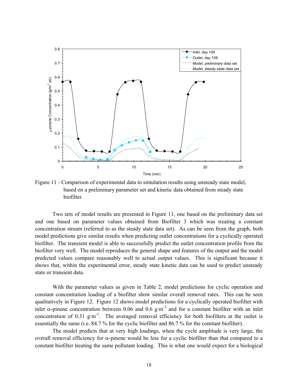

Figure 11 - Comparison of experimental data to simulation results using unsteady state model, based on a preliminary parameter set and kinetic data obtained from steady state biofilter.

Two sets of model results are presented in Figure 11, one based on the preliminary data set and one based on parameter values obtained from Biofilter 3 which was treating a constant concentration stream (referred to as the steady state data set). As can be seen from the graph, both model predictions give similar results when predicting outlet concentrations for a cyclically operated biofilter. The transient model is able to successfully predict the outlet concentration profile from the biofilter very well. The model reproduces the general shape and features of the output and the model predicted values compare reasonably well to actual output values. This is significant because it shows that, within the experimental error, steady state kinetic data can be used to predict unsteady state or transient data.

With the parameter values as given in Table 2, model predictions for cyclic operation and constant concentration loading of a biofilter show similar overall removal rates. This can be seen qualitatively in Figure 12. Figure 12 shows model predictions for a cyclically operated biofilter with inlet  $\alpha$ -pinene concentration between 0.06 and 0.6 g·m<sup>-3</sup> and for a constant biofilter with an inlet concentration of 0.31 g·m<sup>-3</sup>. The averaged removal efficiency for both biofilters at the outlet is essentially the same (i.e. 84.7 % for the cyclic biofilter and 86.7 % for the constant biofilter).

The model predicts that at very high loadings, when the cycle amplitude is very large, the overall removal efficiency for  $\alpha$ -pinene would be less for a cyclic biofilter than that compared to a constant biofilter treating the same pollutant loading. This is what one would expect for a biological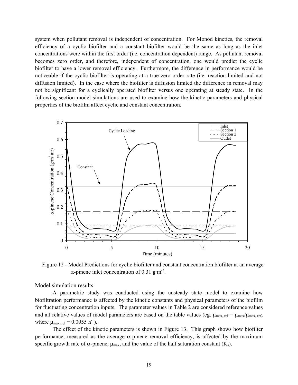system when pollutant removal is independent of concentration. For Monod kinetics, the removal efficiency of a cyclic biofilter and a constant biofilter would be the same as long as the inlet concentrations were within the first order (i.e. concentration dependent) range. As pollutant removal becomes zero order, and therefore, independent of concentration, one would predict the cyclic biofilter to have a lower removal efficiency. Furthermore, the difference in performance would be noticeable if the cyclic biofilter is operating at a true zero order rate (i.e. reaction-limited and not diffusion limited). In the case where the biofilter is diffusion limited the difference in removal may not be significant for a cyclically operated biofilter versus one operating at steady state. In the following section model simulations are used to examine how the kinetic parameters and physical properties of the biofilm affect cyclic and constant concentration.



Figure 12 - Model Predictions for cyclic biofilter and constant concentration biofilter at an average α-pinene inlet concentration of 0.31 g·m<sup>-3</sup>.

Model simulation results

A parametric study was conducted using the unsteady state model to examine how biofiltration performance is affected by the kinetic constants and physical parameters of the biofilm for fluctuating concentration inputs. The parameter values in Table 2 are considered reference values and all relative values of model parameters are based on the table values (eg.  $\mu_{\text{max, rel}} = \mu_{\text{max}}/\mu_{\text{max, ref}}$ where  $\mu_{\text{max. ref}} = 0.0055 \text{ h}^{-1}$ .

The effect of the kinetic parameters is shown in Figure 13. This graph shows how biofilter performance, measured as the average α-pinene removal efficiency, is affected by the maximum specific growth rate of  $\alpha$ -pinene,  $\mu_{max}$ , and the value of the half saturation constant (K<sub>s</sub>).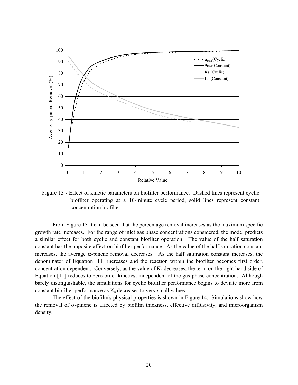

Figure 13 - Effect of kinetic parameters on biofilter performance. Dashed lines represent cyclic biofilter operating at a 10-minute cycle period, solid lines represent constant concentration biofilter.

From Figure 13 it can be seen that the percentage removal increases as the maximum specific growth rate increases. For the range of inlet gas phase concentrations considered, the model predicts a similar effect for both cyclic and constant biofilter operation. The value of the half saturation constant has the opposite affect on biofilter performance. As the value of the half saturation constant increases, the average  $\alpha$ -pinene removal decreases. As the half saturation constant increases, the denominator of Equation [11] increases and the reaction within the biofilter becomes first order, concentration dependent. Conversely, as the value of  $K_s$  decreases, the term on the right hand side of Equation [11] reduces to zero order kinetics, independent of the gas phase concentration. Although barely distinguishable, the simulations for cyclic biofilter performance begins to deviate more from constant biofilter performance as  $K_s$  decreases to very small values.

The effect of the biofilm's physical properties is shown in Figure 14. Simulations show how the removal of  $\alpha$ -pinene is affected by biofilm thickness, effective diffusivity, and microorganism density.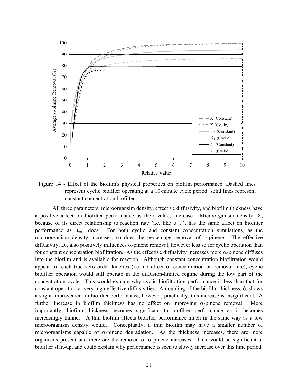

Figure 14 - Effect of the biofilm's physical properties on biofilm performance. Dashed lines represent cyclic biofilter operating at a 10-minute cycle period, solid lines represent constant concentration biofilter.

All three parameters, microorgansim density, effective diffusivity, and biofilm thickness have a positive affect on biofilter performance as their values increase. Microorganism density, X, because of its direct relationship to reaction rate (i.e. like  $\mu_{\text{max}}$ ), has the same affect on biofilter performance as  $\mu_{\text{max}}$  does. For both cyclic and constant concentration simulations, as the microorganism density increases, so does the percentage removal of  $\alpha$ -pinene. The effective diffusivity,  $D_e$ , also positively influences  $\alpha$ -pinene removal, however less so for cyclic operation than for constant concentration biofiltration. As the effective diffusivity increases more  $\alpha$ -pinene diffuses into the biofilm and is available for reaction. Although constant concentration biofiltration would appear to reach true zero order kinetics (i.e. no effect of concentration on removal rate), cyclic biofilter operation would still operate in the diffusion-limited regime during the low part of the concentration cycle. This would explain why cyclic biofiltration performance is less than that for constant operation at very high effective diffusivities. A doubling of the biofilm thickness, δ, shows a slight improvement in biofilter performance, however, practically, this increase is insignificant. A further increase in biofilm thickness has no effect on improving  $\alpha$ -pinene removal. More importantly, biofilm thickness becomes significant to biofilter performance as it becomes increasingly thinner. A thin biofilm affects biofilter performance much in the same way as a low microorganism density would. Conceptually, a thin biofilm may have a smaller number of microorganisms capable of  $\alpha$ -pinene degradation. As the thickness increases, there are more organisms present and therefore the removal of  $\alpha$ -pinene increases. This would be significant at biofilter start-up, and could explain why performance is seen to slowly increase over this time period.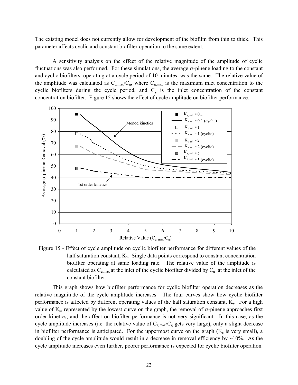The existing model does not currently allow for development of the biofilm from thin to thick. This parameter affects cyclic and constant biofilter operation to the same extent.

A sensitivity analysis on the effect of the relative magnitude of the amplitude of cyclic fluctuations was also performed. For these simulations, the average  $\alpha$ -pinene loading to the constant and cyclic biofilters, operating at a cycle period of 10 minutes, was the same. The relative value of the amplitude was calculated as  $C_{g,max}/C_{g}$ , where  $C_{g,max}$  is the maximum inlet concentration to the cyclic biofilters during the cycle period, and  $C<sub>g</sub>$  is the inlet concentration of the constant concentration biofilter. Figure 15 shows the effect of cycle amplitude on biofilter performance.



Figure 15 - Effect of cycle amplitude on cyclic biofilter performance for different values of the half saturation constant,  $K_s$ . Single data points correspond to constant concentration biofilter operating at same loading rate. The relative value of the amplitude is calculated as  $C_{g,max}$  at the inlet of the cyclic biofilter divided by  $C_g$  at the inlet of the constant biofilter.

This graph shows how biofilter performance for cyclic biofilter operation decreases as the relative magnitude of the cycle amplitude increases. The four curves show how cyclic biofilter performance is affected by different operating values of the half saturation constant, K<sub>s</sub>. For a high value of K<sub>s</sub>, represented by the lowest curve on the graph, the removal of α-pinene approaches first order kinetics, and the affect on biofilter performance is not very significant. In this case, as the cycle amplitude increases (i.e. the relative value of  $C_{g,max}/C_{g}$  gets very large), only a slight decrease in biofilter performance is anticipated. For the uppermost curve on the graph  $(K_s$  is very small), a doubling of the cycle amplitude would result in a decrease in removal efficiency by  $\sim$ 10%. As the cycle amplitude increases even further, poorer performance is expected for cyclic biofilter operation.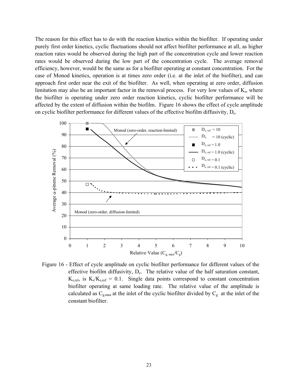The reason for this effect has to do with the reaction kinetics within the biofilter. If operating under purely first order kinetics, cyclic fluctuations should not affect biofilter performance at all, as higher reaction rates would be observed during the high part of the concentration cycle and lower reaction rates would be observed during the low part of the concentration cycle. The average removal efficiency, however, would be the same as for a biofilter operating at constant concentration. For the case of Monod kinetics, operation is at times zero order (i.e. at the inlet of the biofilter), and can approach first order near the exit of the biofilter. As well, when operating at zero order, diffusion limitation may also be an important factor in the removal process. For very low values of  $K_s$ , where the biofilter is operating under zero order reaction kinetics, cyclic biofilter performance will be affected by the extent of diffusion within the biofilm. Figure 16 shows the effect of cycle amplitude on cyclic biofilter performance for different values of the effective biofilm diffusivity, De.



Figure 16 - Effect of cycle amplitude on cyclic biofilter performance for different values of the effective biofilm diffusivity, D<sub>e</sub>. The relative value of the half saturation constant,  $K_{s,rel}$ , is  $K_s/K_{s,ref} = 0.1$ . Single data points correspond to constant concentration biofilter operating at same loading rate. The relative value of the amplitude is calculated as  $C_{g,max}$  at the inlet of the cyclic biofilter divided by  $C_g$  at the inlet of the constant biofilter.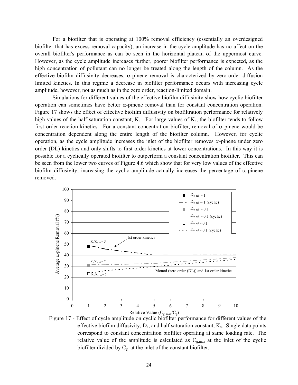For a biofilter that is operating at 100% removal efficiency (essentially an overdesigned biofilter that has excess removal capacity), an increase in the cycle amplitude has no affect on the overall biofilter's performance as can be seen in the horizontal plateau of the uppermost curve. However, as the cycle amplitude increases further, poorer biofilter performance is expected, as the high concentration of pollutant can no longer be treated along the length of the column. As the effective biofilm diffusivity decreases, α-pinene removal is characterized by zero-order diffusion limited kinetics. In this regime a decrease in biofilter performance occurs with increasing cycle amplitude, however, not as much as in the zero order, reaction-limited domain.

Simulations for different values of the effective biofilm diffusivity show how cyclic biofilter operation can sometimes have better α-pinene removal than for constant concentration operation. Figure 17 shows the effect of effective biofilm diffusivity on biofiltration performance for relatively high values of the half saturation constant,  $K_s$ . For large values of  $K_s$ , the biofilter tends to follow first order reaction kinetics. For a constant concentration biofilter, removal of  $\alpha$ -pinene would be concentration dependent along the entire length of the biofilter column. However, for cyclic operation, as the cycle amplitude increases the inlet of the biofilter removes α-pinene under zero order (DL) kinetics and only shifts to first order kinetics at lower concentrations. In this way it is possible for a cyclically operated biofilter to outperform a constant concentration biofilter. This can be seen from the lower two curves of Figure 4.6 which show that for very low values of the effective biofilm diffusivity, increasing the cyclic amplitude actually increases the percentage of  $\alpha$ -pinene removed.



Figure 17 - Effect of cycle amplitude on cyclic biofilter performance for different values of the effective biofilm diffusivity,  $D_e$ , and half saturation constant,  $K_s$ . Single data points correspond to constant concentration biofilter operating at same loading rate. The relative value of the amplitude is calculated as  $C_{g,max}$  at the inlet of the cyclic biofilter divided by  $C_g$  at the inlet of the constant biofilter.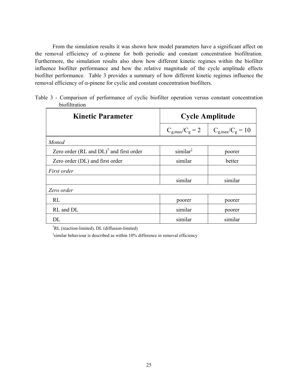From the simulation results it was shown how model parameters have a significant affect on the removal efficiency of  $\alpha$ -pinene for both periodic and constant concentration biofiltration. Furthermore, the simulation results also show how different kinetic regimes within the biofilter influence biofilter performance and how the relative magnitude of the cycle amplitude effects biofilter performance. Table 3 provides a summary of how different kinetic regimes influence the removal efficiency of α-pinene for cyclic and constant concentration biofilters.

|               | Table 3 - Comparison of performance of cyclic biofilter operation versus constant concentration |  |  |  |
|---------------|-------------------------------------------------------------------------------------------------|--|--|--|
| biofiltration |                                                                                                 |  |  |  |

| <b>Kinetic Parameter</b>                               |                             | <b>Cycle Amplitude</b>       |  |
|--------------------------------------------------------|-----------------------------|------------------------------|--|
|                                                        | $C_{\rm g,max}/C_{\rm g}=2$ | $C_{\rm g,max}/C_{\rm g}=10$ |  |
| Monod                                                  |                             |                              |  |
| Zero order $(RL$ and $DL$ <sup>†</sup> and first order | $similar^{\ddagger}$        | poorer                       |  |
| Zero order (DL) and first order                        | similar                     | better                       |  |
| First order                                            |                             |                              |  |
|                                                        | similar                     | similar                      |  |
| Zero order                                             |                             |                              |  |
| RL                                                     | poorer                      | poorer                       |  |
| RL and DL                                              | similar                     | poorer                       |  |
| DL                                                     | similar                     | similar                      |  |

† RL (reaction-limited), DL (diffusion-limited)

‡ similar behaviour is described as within 10% difference in removal efficiency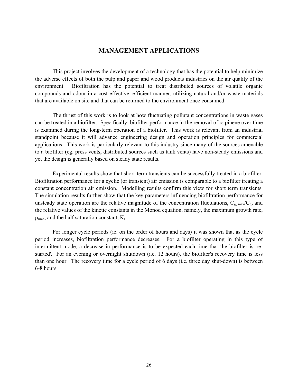# **MANAGEMENT APPLICATIONS**

This project involves the development of a technology that has the potential to help minimize the adverse effects of both the pulp and paper and wood products industries on the air quality of the environment. Biofiltration has the potential to treat distributed sources of volatile organic compounds and odour in a cost effective, efficient manner, utilizing natural and/or waste materials that are available on site and that can be returned to the environment once consumed.

The thrust of this work is to look at how fluctuating pollutant concentrations in waste gases can be treated in a biofilter. Specifically, biofilter performance in the removal of  $\alpha$ -pinene over time is examined during the long-term operation of a biofilter. This work is relevant from an industrial standpoint because it will advance engineering design and operation principles for commercial applications. This work is particularly relevant to this industry since many of the sources amenable to a biofilter (eg. press vents, distributed sources such as tank vents) have non-steady emissions and yet the design is generally based on steady state results.

Experimental results show that short-term transients can be successfully treated in a biofilter. Biofiltration performance for a cyclic (or transient) air emission is comparable to a biofilter treating a constant concentration air emission. Modelling results confirm this view for short term transients. The simulation results further show that the key parameters influencing biofiltration performance for unsteady state operation are the relative magnitude of the concentration fluctuations,  $C_{g, max}/C_{g}$ , and the relative values of the kinetic constants in the Monod equation, namely, the maximum growth rate,  $\mu_{\text{max}}$ , and the half saturation constant,  $K_s$ .

For longer cycle periods (ie. on the order of hours and days) it was shown that as the cycle period increases, biofiltration performance decreases. For a biofilter operating in this type of intermittent mode, a decrease in performance is to be expected each time that the biofilter is 'restarted'. For an evening or overnight shutdown (i.e. 12 hours), the biofilter's recovery time is less than one hour. The recovery time for a cycle period of 6 days (i.e. three day shut-down) is between 6-8 hours.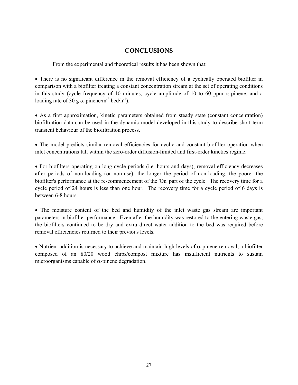# **CONCLUSIONS**

From the experimental and theoretical results it has been shown that:

• There is no significant difference in the removal efficiency of a cyclically operated biofilter in comparison with a biofilter treating a constant concentration stream at the set of operating conditions in this study (cycle frequency of 10 minutes, cycle amplitude of 10 to 60 ppm  $\alpha$ -pinene, and a loading rate of 30 g  $\alpha$ -pinene·m<sup>-3</sup> bed·h<sup>-1</sup>).

• As a first approximation, kinetic parameters obtained from steady state (constant concentration) biofiltration data can be used in the dynamic model developed in this study to describe short-term transient behaviour of the biofiltration process.

• The model predicts similar removal efficiencies for cyclic and constant biofilter operation when inlet concentrations fall within the zero-order diffusion-limited and first-order kinetics regime.

• For biofilters operating on long cycle periods (i.e. hours and days), removal efficiency decreases after periods of non-loading (or non-use); the longer the period of non-loading, the poorer the biofilter's performance at the re-commencement of the 'On' part of the cycle. The recovery time for a cycle period of 24 hours is less than one hour. The recovery time for a cycle period of 6 days is between 6-8 hours.

• The moisture content of the bed and humidity of the inlet waste gas stream are important parameters in biofilter performance. Even after the humidity was restored to the entering waste gas, the biofilters continued to be dry and extra direct water addition to the bed was required before removal efficiencies returned to their previous levels.

• Nutrient addition is necessary to achieve and maintain high levels of  $\alpha$ -pinene removal; a biofilter composed of an 80/20 wood chips/compost mixture has insufficient nutrients to sustain microorganisms capable of  $\alpha$ -pinene degradation.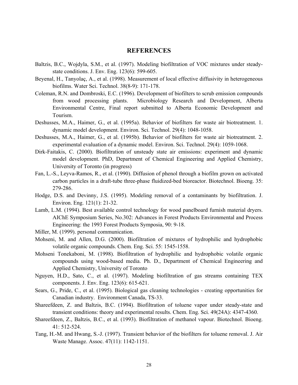# **REFERENCES**

- Baltzis, B.C., Wojdyla, S.M., et al. (1997). Modeling biofiltration of VOC mixtures under steadystate conditions. J. Env. Eng. 123(6): 599-605.
- Beyenal, H., Tanyolaç, A., et al. (1998). Measurement of local effective diffusivity in heterogeneous biofilms. Water Sci. Technol. 38(8-9): 171-178.
- Coleman, R.N. and Dombroski, E.C. (1996). Development of biofilters to scrub emission compounds from wood processing plants. Microbiology Research and Development, Alberta Environmental Centre, Final report submitted to Alberta Economic Development and Tourism.
- Deshusses, M.A., Haimer, G., et al. (1995a). Behavior of biofilters for waste air biotreatment. 1. dynamic model development. Environ. Sci. Technol. 29(4): 1048-1058.
- Deshusses, M.A., Haimer, G., et al. (1995b). Behavior of biofilters for waste air biotreatment. 2. experimental evaluation of a dynamic model. Environ. Sci. Technol. 29(4): 1059-1068.
- Dirk-Faitakis, C. (2000). Biofiltration of unsteady state air emissions: experiment and dynamic model development. PhD, Department of Chemical Engineering and Applied Chemistry, University of Toronto (in progress)
- Fan, L.-S., Leyva-Ramos, R., et al. (1990). Diffusion of phenol through a biofilm grown on activated carbon particles in a draft-tube three-phase fluidized-bed bioreactor. Biotechnol. Bioeng. 35: 279-286.
- Hodge, D.S. and Devinny, J.S. (1995). Modeling removal of a contaminants by biofiltration. J. Environ. Eng. 121(1): 21-32.
- Lamb, L.M. (1994). Best available control technology for wood panelboard furnish material dryers. AIChE Symposium Series, No.302: Advances in Forest Products Environmental and Process Engineering: the 1993 Forest Products Symposia, 90: 9-18.
- Miller, M. (1999). personal communication.
- Mohseni, M. and Allen, D.G. (2000). Biofiltration of mixtures of hydrophilic and hydrophobic volatile organic compounds. Chem. Eng. Sci. 55: 1545-1558.
- Mohseni Tonekaboni, M. (1998). Biofiltration of hydrophilic and hydrophobic volatile organic compounds using wood-based media. Ph. D., Department of Chemical Engineering and Applied Chemistry, University of Toronto
- Nguyen, H.D., Sato, C., et al. (1997). Modeling biofiltration of gas streams containing TEX components. J. Env. Eng. 123(6): 615-621.
- Sears, G., Pride, C., et al. (1995). Biological gas cleaning technologies creating opportunities for Canadian industry. Environment Canada, TS-33.
- Shareefdeen, Z. and Baltzis, B.C. (1994). Biofiltration of toluene vapor under steady-state and transient conditions: theory and experimental results. Chem. Eng. Sci. 49(24A): 4347-4360.
- Shareefdeen, Z., Baltzis, B.C., et al. (1993). Biofiltration of methanol vapour. Biotechnol. Bioeng. 41: 512-524.
- Tang, H.-M. and Hwang, S.-J. (1997). Transient behavior of the biofilters for toluene removal. J. Air Waste Manage. Assoc. 47(11): 1142-1151.